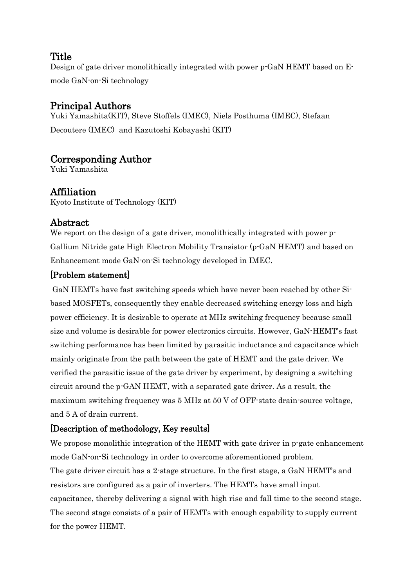### **Title**

Design of gate driver monolithically integrated with power p-GaN HEMT based on Emode GaN-on-Si technology

# Principal Authors

Yuki Yamashita(KIT), Steve Stoffels (IMEC), Niels Posthuma (IMEC), Stefaan Decoutere (IMEC) and Kazutoshi Kobayashi (KIT)

# Corresponding Author

Yuki Yamashita

## Affiliation

Kyoto Institute of Technology (KIT)

### Abstract

We report on the design of a gate driver, monolithically integrated with power p-Gallium Nitride gate High Electron Mobility Transistor (p-GaN HEMT) and based on Enhancement mode GaN-on-Si technology developed in IMEC.

#### [Problem statement]

GaN HEMTs have fast switching speeds which have never been reached by other Sibased MOSFETs, consequently they enable decreased switching energy loss and high power efficiency. It is desirable to operate at MHz switching frequency because small size and volume is desirable for power electronics circuits. However, GaN-HEMT's fast switching performance has been limited by parasitic inductance and capacitance which mainly originate from the path between the gate of HEMT and the gate driver. We verified the parasitic issue of the gate driver by experiment, by designing a switching circuit around the p-GAN HEMT, with a separated gate driver. As a result, the maximum switching frequency was 5 MHz at 50 V of OFF-state drain-source voltage, and 5 A of drain current.

#### [Description of methodology, Key results]

We propose monolithic integration of the HEMT with gate driver in p-gate enhancement mode GaN-on-Si technology in order to overcome aforementioned problem. The gate driver circuit has a 2-stage structure. In the first stage, a GaN HEMT's and resistors are configured as a pair of inverters. The HEMTs have small input capacitance, thereby delivering a signal with high rise and fall time to the second stage. The second stage consists of a pair of HEMTs with enough capability to supply current for the power HEMT.